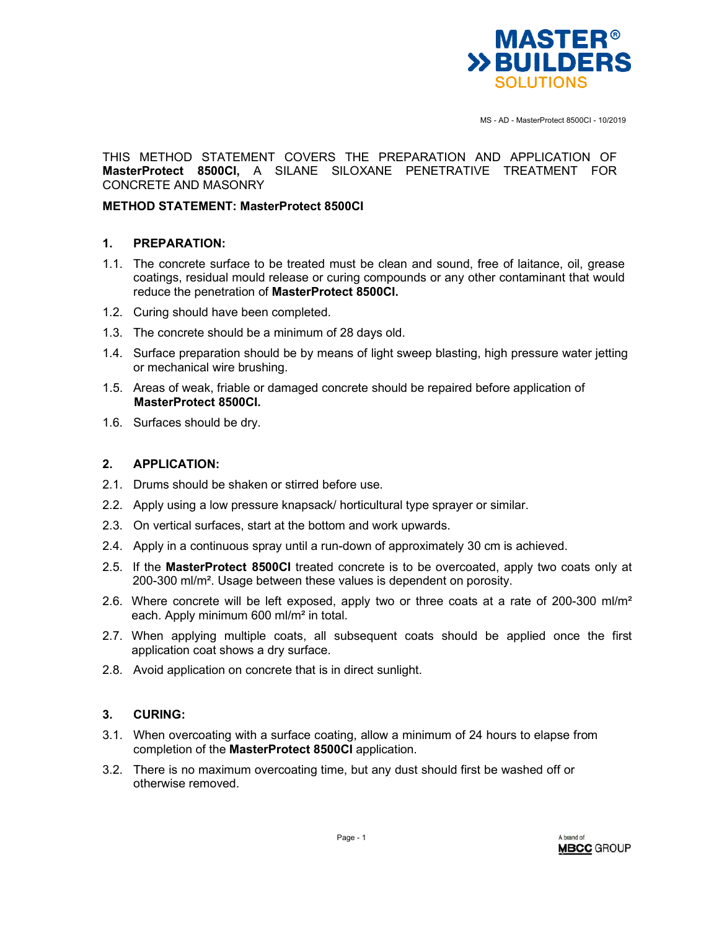

MS - AD - MasterProtect 8500CI - 10/2019

THIS METHOD STATEMENT COVERS THE PREPARATION AND APPLICATION OF **MasterProtect 8500CI,** A SILANE SILOXANE PENETRATIVE TREATMENT FOR CONCRETE AND MASONRY

## **METHOD STATEMENT: MasterProtect 8500CI**

### **1. PREPARATION:**

- 1.1. The concrete surface to be treated must be clean and sound, free of laitance, oil, grease coatings, residual mould release or curing compounds or any other contaminant that would reduce the penetration of **MasterProtect 8500CI.**
- 1.2. Curing should have been completed.
- 1.3. The concrete should be a minimum of 28 days old.
- 1.4. Surface preparation should be by means of light sweep blasting, high pressure water jetting or mechanical wire brushing.
- 1.5. Areas of weak, friable or damaged concrete should be repaired before application of **MasterProtect 8500CI.**
- 1.6. Surfaces should be dry.

## **2. APPLICATION:**

- 2.1. Drums should be shaken or stirred before use.
- 2.2. Apply using a low pressure knapsack/ horticultural type sprayer or similar.
- 2.3. On vertical surfaces, start at the bottom and work upwards.
- 2.4. Apply in a continuous spray until a run-down of approximately 30 cm is achieved.
- 2.5. If the **MasterProtect 8500CI** treated concrete is to be overcoated, apply two coats only at 200-300 ml/m². Usage between these values is dependent on porosity.
- 2.6. Where concrete will be left exposed, apply two or three coats at a rate of 200-300 ml/m<sup>2</sup> each. Apply minimum 600 ml/m² in total.
- 2.7. When applying multiple coats, all subsequent coats should be applied once the first application coat shows a dry surface.
- 2.8. Avoid application on concrete that is in direct sunlight.

# **3. CURING:**

- 3.1. When overcoating with a surface coating, allow a minimum of 24 hours to elapse from completion of the **MasterProtect 8500CI** application.
- 3.2. There is no maximum overcoating time, but any dust should first be washed off or otherwise removed.